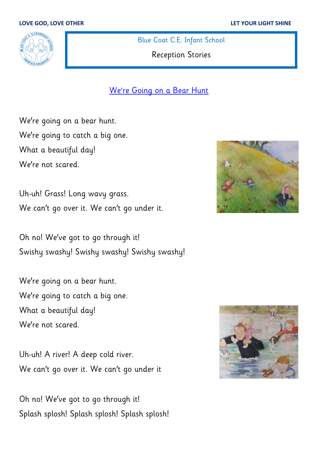## **LOVE GOD, LOVE OTHER LET YOUR LIGHT SHINE**



Blue Coat C.E. Infant School

Reception Stories

## [We're Going on a Bear Hunt](https://www.youtube.com/watch?v=0gyI6ykDwds)

We're going on a bear hunt. We're going to catch a big one. What a beautiful day! We're not scared.

Uh-uh! Grass! Long wavy grass. We can't go over it. We can't go under it.

Oh no! We've got to go through it! Swishy swashy! Swishy swashy! Swishy swashy!

We're going on a bear hunt. We're going to catch a big one. What a beautiful day! We're not scared.

Uh-uh! A river! A deep cold river. We can't go over it. We can't go under it

Oh no! We've got to go through it! Splash splosh! Splash splosh! Splash splosh!



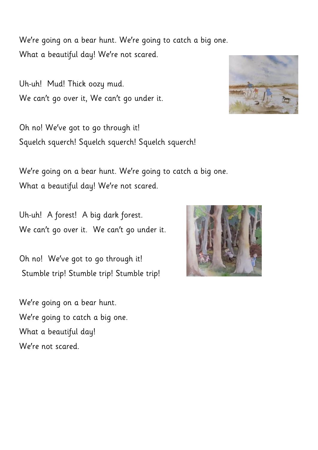We're going on a bear hunt. We're going to catch a big one. What a beautiful day! We're not scared.

Uh-uh! Mud! Thick oozy mud. We can't go over it, We can't go under it.

Oh no! We've got to go through it! Squelch squerch! Squelch squerch! Squelch squerch!

We're going on a bear hunt. We're going to catch a big one. What a beautiful day! We're not scared.

Uh-uh! A forest! A big dark forest. We can't go over it. We can't go under it.

Oh no! We've got to go through it! Stumble trip! Stumble trip! Stumble trip!

We're going on a bear hunt. We're going to catch a big one. What a beautiful day! We're not scared.



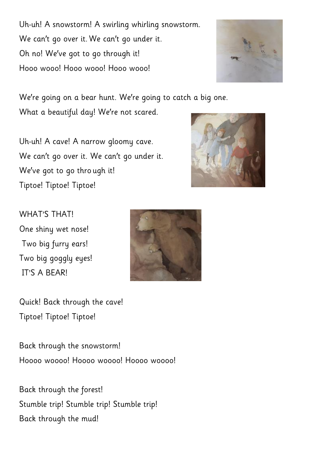Uh-uh! A snowstorm! A swirling whirling snowstorm. We can't go over it. We can't go under it. Oh no! We've got to go through it! Hooo wooo! Hooo wooo! Hooo wooo!

We're going on a bear hunt. We're going to catch a big one. What a beautiful day! We're not scared.

Uh-uh! A cave! A narrow gloomy cave. We can't go over it. We can't go under it. We've got to go thro ugh it! Tiptoe! Tiptoe! Tiptoe!



WHAT'S THAT! One shiny wet nose! Two big furry ears! Two big goggly eyes! IT'S A BEAR!



Quick! Back through the cave! Tiptoe! Tiptoe! Tiptoe!

Back through the snowstorm! Hoooo woooo! Hoooo woooo! Hoooo woooo!

Back through the forest! Stumble trip! Stumble trip! Stumble trip! Back through the mud!